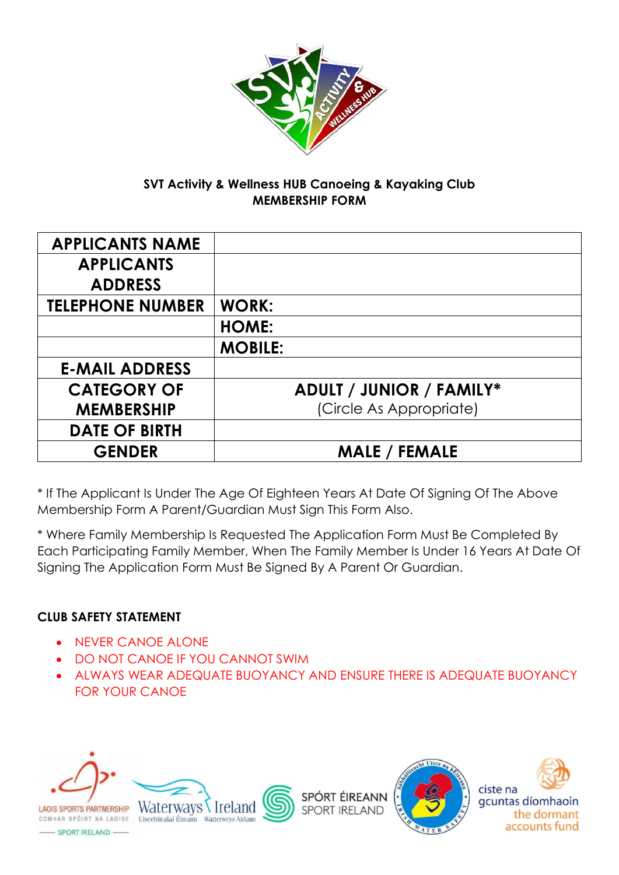

#### **SVT Activity & Wellness HUB Canoeing & Kayaking Club MEMBERSHIP FORM**

| <b>APPLICANTS NAME</b>  |                                 |
|-------------------------|---------------------------------|
| <b>APPLICANTS</b>       |                                 |
| <b>ADDRESS</b>          |                                 |
| <b>TELEPHONE NUMBER</b> | <b>WORK:</b>                    |
|                         | <b>HOME:</b>                    |
|                         | <b>MOBILE:</b>                  |
| <b>E-MAIL ADDRESS</b>   |                                 |
| <b>CATEGORY OF</b>      | <b>ADULT / JUNIOR / FAMILY*</b> |
| <b>MEMBERSHIP</b>       | (Circle As Appropriate)         |
| <b>DATE OF BIRTH</b>    |                                 |
| <b>GENDER</b>           | <b>MALE / FEMALE</b>            |

\* If The Applicant Is Under The Age Of Eighteen Years At Date Of Signing Of The Above Membership Form A Parent/Guardian Must Sign This Form Also.

\* Where Family Membership Is Requested The Application Form Must Be Completed By Each Participating Family Member, When The Family Member Is Under 16 Years At Date Of Signing The Application Form Must Be Signed By A Parent Or Guardian.

### **CLUB SAFETY STATEMENT**

- NEVER CANOE ALONE
- **DO NOT CANOE IF YOU CANNOT SWIM**
- ALWAYS WEAR ADEQUATE BUOYANCY AND ENSURE THERE IS ADEQUATE BUOYANCY FOR YOUR CANOE





SPÓRT ÉIREANN **SPORT IRELAND** 





- SPORT IRELAND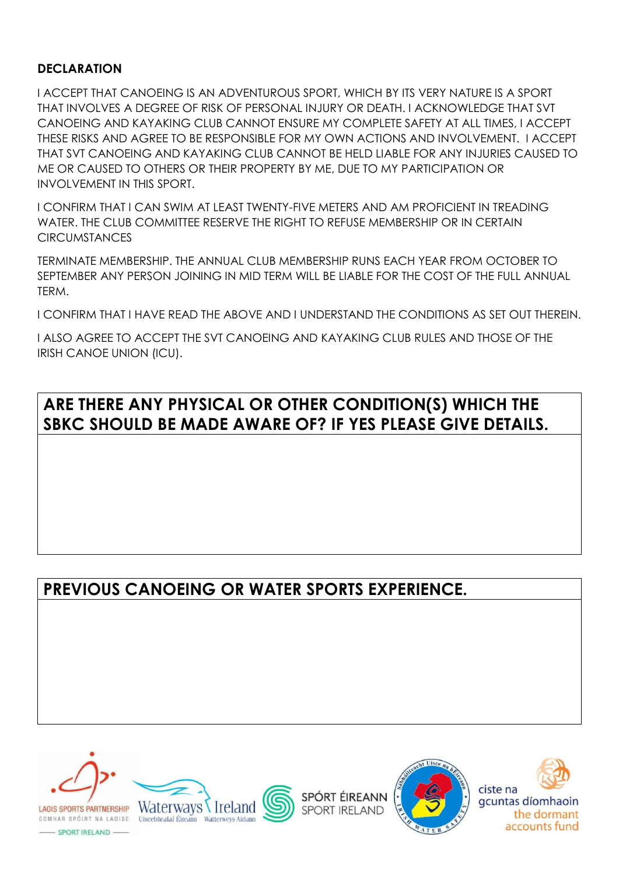#### **DECLARATION**

I ACCEPT THAT CANOEING IS AN ADVENTUROUS SPORT, WHICH BY ITS VERY NATURE IS A SPORT THAT INVOLVES A DEGREE OF RISK OF PERSONAL INJURY OR DEATH. I ACKNOWLEDGE THAT SVT CANOEING AND KAYAKING CLUB CANNOT ENSURE MY COMPLETE SAFETY AT ALL TIMES, I ACCEPT THESE RISKS AND AGREE TO BE RESPONSIBLE FOR MY OWN ACTIONS AND INVOLVEMENT. I ACCEPT THAT SVT CANOEING AND KAYAKING CLUB CANNOT BE HELD LIABLE FOR ANY INJURIES CAUSED TO ME OR CAUSED TO OTHERS OR THEIR PROPERTY BY ME, DUE TO MY PARTICIPATION OR INVOLVEMENT IN THIS SPORT.

I CONFIRM THAT I CAN SWIM AT LEAST TWENTY-FIVE METERS AND AM PROFICIENT IN TREADING WATER. THE CLUB COMMITTEE RESERVE THE RIGHT TO REFUSE MEMBERSHIP OR IN CERTAIN **CIRCUMSTANCES** 

TERMINATE MEMBERSHIP. THE ANNUAL CLUB MEMBERSHIP RUNS EACH YEAR FROM OCTOBER TO SEPTEMBER ANY PERSON JOINING IN MID TERM WILL BE LIABLE FOR THE COST OF THE FULL ANNUAL TERM.

I CONFIRM THAT I HAVE READ THE ABOVE AND I UNDERSTAND THE CONDITIONS AS SET OUT THEREIN.

I ALSO AGREE TO ACCEPT THE SVT CANOEING AND KAYAKING CLUB RULES AND THOSE OF THE IRISH CANOE UNION (ICU).

### **ARE THERE ANY PHYSICAL OR OTHER CONDITION(S) WHICH THE SBKC SHOULD BE MADE AWARE OF? IF YES PLEASE GIVE DETAILS.**

## **PREVIOUS CANOEING OR WATER SPORTS EXPERIENCE.**











- SPORT IRELAND -